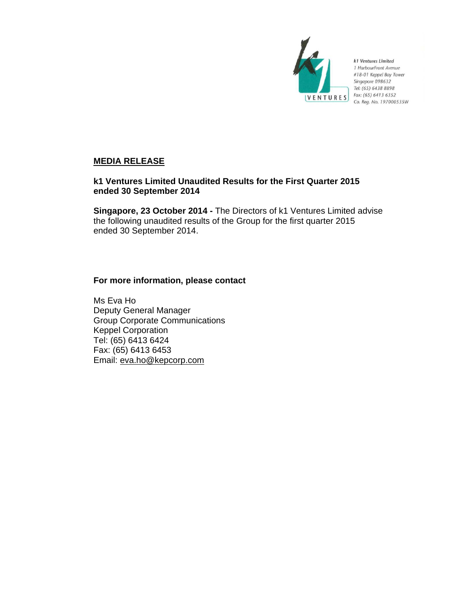

k1 Ventures Limited 1 HarbourFront Avenue #18-01 Keppel Bay Tower Singapore 098632 Tel: (65) 6438 8898 Fax: (65) 6413 6352 Co. Reg. No. 197000535W

# **MEDIA RELEASE**

# **k1 Ventures Limited Unaudited Results for the First Quarter 2015 ended 30 September 2014**

**Singapore, 23 October 2014 -** The Directors of k1 Ventures Limited advise the following unaudited results of the Group for the first quarter 2015 ended 30 September 2014.

# **For more information, please contact**

Ms Eva Ho Deputy General Manager Group Corporate Communications Keppel Corporation Tel: (65) 6413 6424 Fax: (65) 6413 6453 Email: eva.ho@kepcorp.com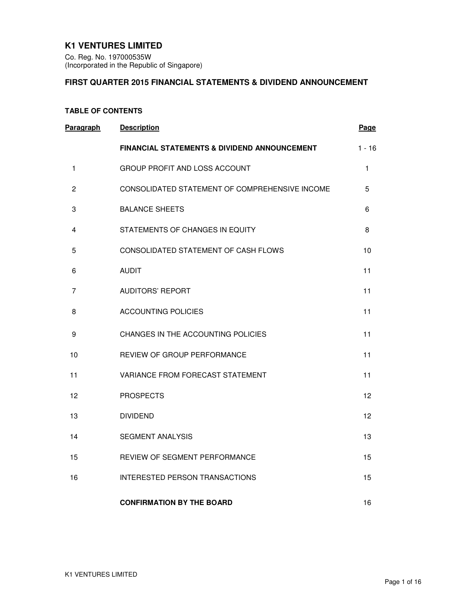# **K1 VENTURES LIMITED**

Co. Reg. No. 197000535W (Incorporated in the Republic of Singapore)

# **FIRST QUARTER 2015 FINANCIAL STATEMENTS & DIVIDEND ANNOUNCEMENT**

### **TABLE OF CONTENTS**

| <b>Paragraph</b> | <b>Description</b>                             | Page     |
|------------------|------------------------------------------------|----------|
|                  | FINANCIAL STATEMENTS & DIVIDEND ANNOUNCEMENT   | $1 - 16$ |
| 1                | GROUP PROFIT AND LOSS ACCOUNT                  | 1        |
| $\overline{2}$   | CONSOLIDATED STATEMENT OF COMPREHENSIVE INCOME | 5        |
| 3                | <b>BALANCE SHEETS</b>                          | 6        |
| 4                | STATEMENTS OF CHANGES IN EQUITY                | 8        |
| 5                | CONSOLIDATED STATEMENT OF CASH FLOWS           | 10       |
| 6                | <b>AUDIT</b>                                   | 11       |
| 7                | AUDITORS' REPORT                               | 11       |
| 8                | ACCOUNTING POLICIES                            | 11       |
| 9                | CHANGES IN THE ACCOUNTING POLICIES             | 11       |
| 10               | REVIEW OF GROUP PERFORMANCE                    | 11       |
| 11               | VARIANCE FROM FORECAST STATEMENT               | 11       |
| 12               | <b>PROSPECTS</b>                               | 12       |
| 13               | <b>DIVIDEND</b>                                | 12       |
| 14               | <b>SEGMENT ANALYSIS</b>                        | 13       |
| 15               | REVIEW OF SEGMENT PERFORMANCE                  | 15       |
| 16               | <b>INTERESTED PERSON TRANSACTIONS</b>          | 15       |
|                  | <b>CONFIRMATION BY THE BOARD</b>               | 16       |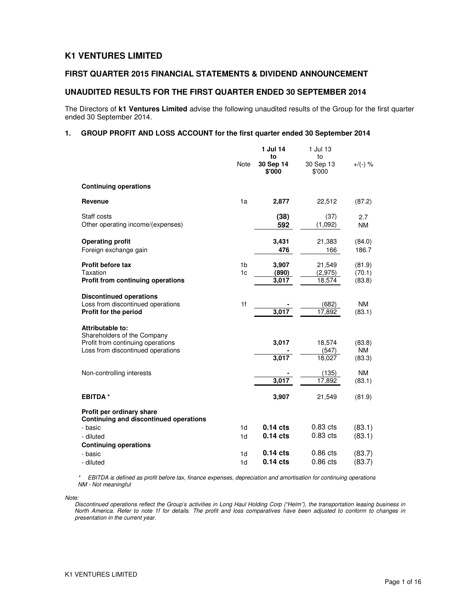# **K1 VENTURES LIMITED**

### **FIRST QUARTER 2015 FINANCIAL STATEMENTS & DIVIDEND ANNOUNCEMENT**

### **UNAUDITED RESULTS FOR THE FIRST QUARTER ENDED 30 SEPTEMBER 2014**

The Directors of **k1 Ventures Limited** advise the following unaudited results of the Group for the first quarter ended 30 September 2014.

#### **1. GROUP PROFIT AND LOSS ACCOUNT for the first quarter ended 30 September 2014**

|                                                                                                                           | <b>Note</b>                      | 1 Jul 14<br>to<br>30 Sep 14<br>\$'000 | 1 Jul 13<br>to<br>30 Sep 13<br>\$'000 | $+/(-)$ %                     |
|---------------------------------------------------------------------------------------------------------------------------|----------------------------------|---------------------------------------|---------------------------------------|-------------------------------|
| <b>Continuing operations</b>                                                                                              |                                  |                                       |                                       |                               |
| Revenue                                                                                                                   | 1a                               | 2,877                                 | 22,512                                | (87.2)                        |
| Staff costs<br>Other operating income/(expenses)                                                                          |                                  | (38)<br>592                           | (37)<br>(1,092)                       | 2.7<br><b>NM</b>              |
| <b>Operating profit</b><br>Foreign exchange gain                                                                          |                                  | 3,431<br>476                          | 21,383<br>166                         | (84.0)<br>186.7               |
| <b>Profit before tax</b><br>Taxation<br><b>Profit from continuing operations</b>                                          | 1 <sub>b</sub><br>1 <sub>c</sub> | 3,907<br>(890)<br>3,017               | 21,549<br>(2,975)<br>18,574           | (81.9)<br>(70.1)<br>(83.8)    |
| <b>Discontinued operations</b><br>Loss from discontinued operations<br>Profit for the period                              | 1f                               | 3,017                                 | (682)<br>17,892                       | <b>NM</b><br>(83.1)           |
| Attributable to:<br>Shareholders of the Company<br>Profit from continuing operations<br>Loss from discontinued operations |                                  | 3,017<br>3,017                        | 18,574<br>(547)<br>18,027             | (83.8)<br><b>NM</b><br>(83.3) |
| Non-controlling interests                                                                                                 |                                  | 3,017                                 | (135)<br>17,892                       | <b>NM</b><br>(83.1)           |
| <b>EBITDA*</b>                                                                                                            |                                  | 3,907                                 | 21,549                                | (81.9)                        |
| Profit per ordinary share<br>Continuing and discontinued operations                                                       |                                  |                                       |                                       |                               |
| - basic<br>- diluted                                                                                                      | 1 <sub>d</sub><br>1 <sub>d</sub> | $0.14$ cts<br>$0.14$ cts              | $0.83$ cts<br>$0.83$ cts              | (83.1)<br>(83.1)              |
| <b>Continuing operations</b><br>- basic<br>- diluted                                                                      | 1d<br>1d                         | $0.14$ cts<br>$0.14$ cts              | $0.86$ cts<br>0.86 cts                | (83.7)<br>(83.7)              |

\* EBITDA is defined as profit before tax, finance expenses, depreciation and amortisation for continuing operations NM - Not meaningful

Note:

Discontinued operations reflect the Group's activities in Long Haul Holding Corp ("Helm"), the transportation leasing business in North America. Refer to note 1f for details. The profit and loss comparatives have been adjusted to conform to changes in presentation in the current year.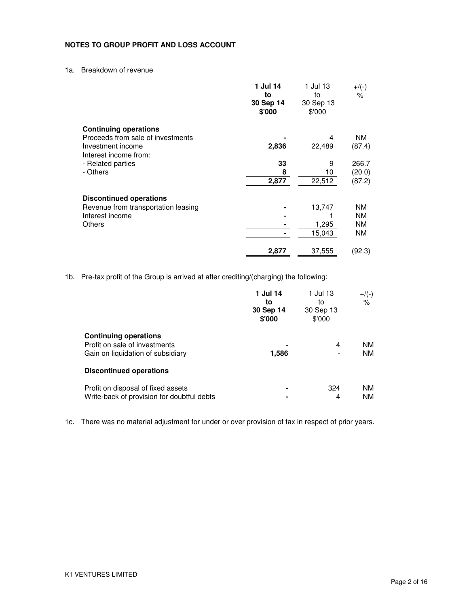### **NOTES TO GROUP PROFIT AND LOSS ACCOUNT**

1a. Breakdown of revenue

|                                     | 1 Jul 14<br>to      | 1 Jul 13<br>to      | $+$ /(-)<br>% |
|-------------------------------------|---------------------|---------------------|---------------|
|                                     | 30 Sep 14<br>\$'000 | 30 Sep 13<br>\$'000 |               |
| <b>Continuing operations</b>        |                     |                     |               |
| Proceeds from sale of investments   |                     | 4                   | NM.           |
| Investment income                   | 2,836               | 22,489              | (87.4)        |
| Interest income from:               |                     |                     |               |
| - Related parties                   | 33                  | 9                   | 266.7         |
| - Others                            | 8                   | 10                  | (20.0)        |
|                                     | 2,877               | 22,512              | (87.2)        |
| <b>Discontinued operations</b>      |                     |                     |               |
| Revenue from transportation leasing |                     | 13,747              | NΜ            |
| Interest income                     |                     |                     | <b>NM</b>     |
| Others                              |                     | 1,295               | <b>NM</b>     |
|                                     |                     | 15,043              | ΝM            |
|                                     | 2,877               | 37,555              | (92.3)        |

1b. Pre-tax profit of the Group is arrived at after crediting/(charging) the following:

|                                                                                                    | 1 Jul 14<br>to<br>30 Sep 14<br>\$'000 | 1 Jul 13<br>to<br>30 Sep 13<br>\$'000 | $+$ /(-)<br>%          |
|----------------------------------------------------------------------------------------------------|---------------------------------------|---------------------------------------|------------------------|
| <b>Continuing operations</b><br>Profit on sale of investments<br>Gain on liquidation of subsidiary | 1,586                                 | 4                                     | <b>NM</b><br><b>NM</b> |
| <b>Discontinued operations</b>                                                                     |                                       |                                       |                        |
| Profit on disposal of fixed assets<br>Write-back of provision for doubtful debts                   |                                       | 324<br>4                              | NM.<br><b>NM</b>       |

1c. There was no material adjustment for under or over provision of tax in respect of prior years.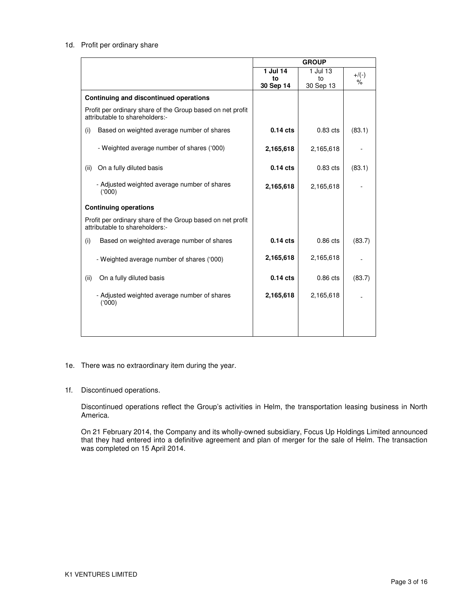### 1d. Profit per ordinary share

|                                                                                              | <b>GROUP</b> |            |          |
|----------------------------------------------------------------------------------------------|--------------|------------|----------|
|                                                                                              | 1 Jul 14     | 1 Jul 13   | $+$ /(-) |
|                                                                                              | to           | to         | %        |
|                                                                                              | 30 Sep 14    | 30 Sep 13  |          |
| Continuing and discontinued operations                                                       |              |            |          |
| Profit per ordinary share of the Group based on net profit<br>attributable to shareholders:- |              |            |          |
| Based on weighted average number of shares<br>(i)                                            | $0.14$ cts   | $0.83$ cts | (83.1)   |
| - Weighted average number of shares ('000)                                                   | 2,165,618    | 2,165,618  |          |
| On a fully diluted basis<br>(ii)                                                             | $0.14$ cts   | $0.83$ cts | (83.1)   |
| - Adjusted weighted average number of shares<br>(000)                                        | 2,165,618    | 2,165,618  |          |
| <b>Continuing operations</b>                                                                 |              |            |          |
| Profit per ordinary share of the Group based on net profit<br>attributable to shareholders:- |              |            |          |
| (i)<br>Based on weighted average number of shares                                            | $0.14$ cts   | $0.86$ cts | (83.7)   |
| - Weighted average number of shares ('000)                                                   | 2,165,618    | 2,165,618  |          |
| (ii)<br>On a fully diluted basis                                                             | $0.14$ cts   | $0.86$ cts | (83.7)   |
| - Adjusted weighted average number of shares<br>(000)                                        | 2,165,618    | 2,165,618  |          |
|                                                                                              |              |            |          |

1e. There was no extraordinary item during the year.

### 1f. Discontinued operations.

Discontinued operations reflect the Group's activities in Helm, the transportation leasing business in North America.

On 21 February 2014, the Company and its wholly-owned subsidiary, Focus Up Holdings Limited announced that they had entered into a definitive agreement and plan of merger for the sale of Helm. The transaction was completed on 15 April 2014.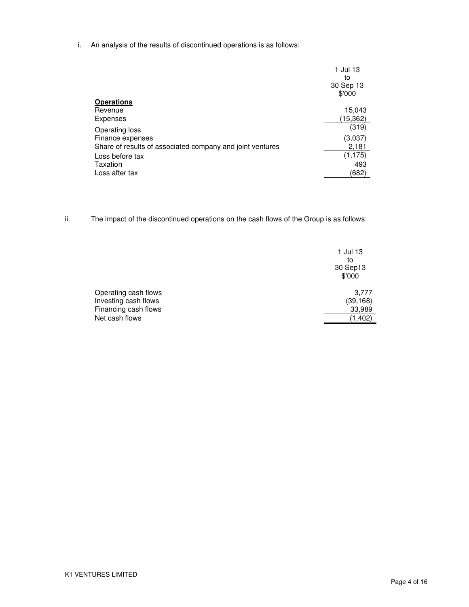i. An analysis of the results of discontinued operations is as follows:

|                                                           | 1 Jul 13<br>to<br>30 Sep 13<br>\$'000 |
|-----------------------------------------------------------|---------------------------------------|
| <b>Operations</b>                                         |                                       |
| Revenue                                                   | 15,043                                |
| <b>Expenses</b>                                           | (15,362)                              |
| Operating loss                                            | (319)                                 |
| Finance expenses                                          | (3,037)                               |
| Share of results of associated company and joint ventures | 2,181                                 |
| Loss before tax                                           | (1, 175)                              |
| Taxation                                                  | 493                                   |
| Loss after tax                                            | (682)                                 |
|                                                           |                                       |

ii. The impact of the discontinued operations on the cash flows of the Group is as follows:

|                      | 1 Jul 13<br>to<br>30 Sep13<br>\$'000 |
|----------------------|--------------------------------------|
| Operating cash flows | 3,777                                |
| Investing cash flows | (39, 168)                            |
| Financing cash flows | 33,989                               |
| Net cash flows       | (1, 402)                             |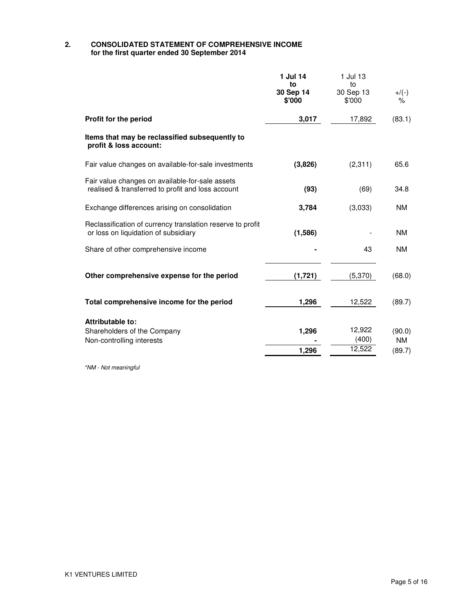### **2. CONSOLIDATED STATEMENT OF COMPREHENSIVE INCOME for the first quarter ended 30 September 2014**

|                                                                                                      | 1 Jul 14<br>to<br>30 Sep 14<br>\$'000 | 1 Jul 13<br>to<br>30 Sep 13<br>\$'000 | $+/(-)$<br>%                  |
|------------------------------------------------------------------------------------------------------|---------------------------------------|---------------------------------------|-------------------------------|
| Profit for the period                                                                                | 3,017                                 | 17,892                                | (83.1)                        |
| Items that may be reclassified subsequently to<br>profit & loss account:                             |                                       |                                       |                               |
| Fair value changes on available-for-sale investments                                                 | (3,826)                               | (2, 311)                              | 65.6                          |
| Fair value changes on available-for-sale assets<br>realised & transferred to profit and loss account | (93)                                  | (69)                                  | 34.8                          |
| Exchange differences arising on consolidation                                                        | 3,784                                 | (3,033)                               | <b>NM</b>                     |
| Reclassification of currency translation reserve to profit<br>or loss on liquidation of subsidiary   | (1,586)                               |                                       | <b>NM</b>                     |
| Share of other comprehensive income                                                                  |                                       | 43                                    | <b>NM</b>                     |
| Other comprehensive expense for the period                                                           | (1,721)                               | (5,370)                               | (68.0)                        |
| Total comprehensive income for the period                                                            | 1,296                                 | 12,522                                | (89.7)                        |
| <b>Attributable to:</b><br>Shareholders of the Company<br>Non-controlling interests                  | 1,296<br>1,296                        | 12,922<br>(400)<br>12,522             | (90.0)<br><b>NM</b><br>(89.7) |

\*NM - Not meaningful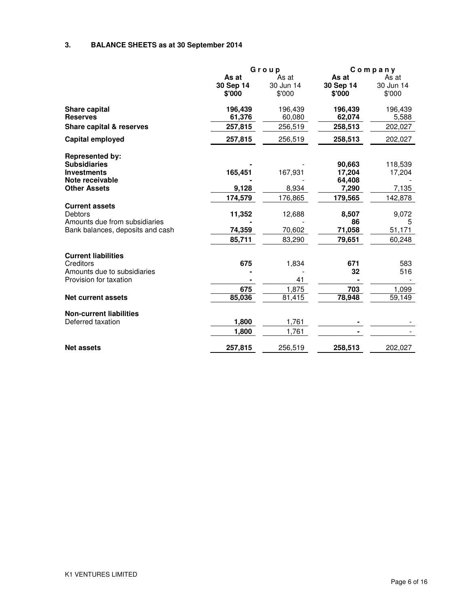# **3. BALANCE SHEETS as at 30 September 2014**

|                                  |           | Group     |           | Company   |  |
|----------------------------------|-----------|-----------|-----------|-----------|--|
|                                  | As at     | As at     | As at     | As at     |  |
|                                  | 30 Sep 14 | 30 Jun 14 | 30 Sep 14 | 30 Jun 14 |  |
|                                  | \$'000    | \$'000    | \$'000    | \$'000    |  |
| <b>Share capital</b>             | 196,439   | 196,439   | 196,439   | 196,439   |  |
| <b>Reserves</b>                  | 61,376    | 60,080    | 62,074    | 5,588     |  |
| Share capital & reserves         | 257,815   | 256,519   | 258,513   | 202,027   |  |
| Capital employed                 | 257,815   | 256,519   | 258,513   | 202,027   |  |
| <b>Represented by:</b>           |           |           |           |           |  |
| <b>Subsidiaries</b>              |           |           | 90,663    | 118,539   |  |
| <b>Investments</b>               | 165,451   | 167,931   | 17,204    | 17,204    |  |
| Note receivable                  |           |           | 64,408    |           |  |
| <b>Other Assets</b>              | 9,128     | 8,934     | 7,290     | 7,135     |  |
|                                  | 174,579   | 176,865   | 179,565   | 142,878   |  |
| <b>Current assets</b>            |           |           |           |           |  |
| <b>Debtors</b>                   | 11,352    | 12,688    | 8,507     | 9,072     |  |
| Amounts due from subsidiaries    |           |           | 86        | 5         |  |
| Bank balances, deposits and cash | 74,359    | 70,602    | 71,058    | 51,171    |  |
|                                  | 85,711    | 83,290    | 79,651    | 60,248    |  |
| <b>Current liabilities</b>       |           |           |           |           |  |
| Creditors                        | 675       | 1,834     | 671       | 583       |  |
| Amounts due to subsidiaries      |           |           | 32        | 516       |  |
| Provision for taxation           |           | 41        |           |           |  |
|                                  | 675       | 1,875     | 703       | 1,099     |  |
| <b>Net current assets</b>        | 85,036    | 81,415    | 78,948    | 59,149    |  |
| <b>Non-current liabilities</b>   |           |           |           |           |  |
| Deferred taxation                | 1,800     | 1,761     |           |           |  |
|                                  | 1,800     | 1,761     |           |           |  |
| <b>Net assets</b>                | 257,815   | 256,519   | 258,513   | 202,027   |  |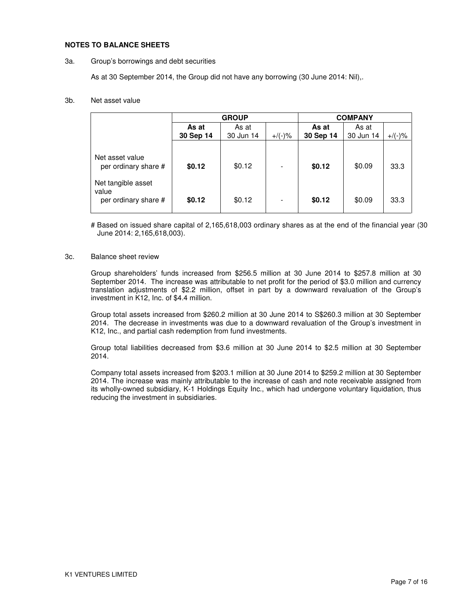#### **NOTES TO BALANCE SHEETS**

#### 3a. Group's borrowings and debt securities

As at 30 September 2014, the Group did not have any borrowing (30 June 2014: Nil),.

#### 3b. Net asset value

|                                                               | <b>GROUP</b>   |           |           | <b>COMPANY</b> |           |           |
|---------------------------------------------------------------|----------------|-----------|-----------|----------------|-----------|-----------|
|                                                               | As at<br>As at |           | As at     | As at          |           |           |
|                                                               | 30 Sep 14      | 30 Jun 14 | $+$ /(-)% | 30 Sep 14      | 30 Jun 14 | $+/(-)$ % |
| Net asset value<br>per ordinary share #<br>Net tangible asset | \$0.12         | \$0.12    |           | \$0.12         | \$0.09    | 33.3      |
| value<br>per ordinary share #                                 | \$0.12         | \$0.12    | ۰         | \$0.12         | \$0.09    | 33.3      |

# Based on issued share capital of 2,165,618,003 ordinary shares as at the end of the financial year (30 June 2014: 2,165,618,003).

#### 3c. Balance sheet review

Group shareholders' funds increased from \$256.5 million at 30 June 2014 to \$257.8 million at 30 September 2014. The increase was attributable to net profit for the period of \$3.0 million and currency translation adjustments of \$2.2 million, offset in part by a downward revaluation of the Group's investment in K12, Inc. of \$4.4 million.

Group total assets increased from \$260.2 million at 30 June 2014 to S\$260.3 million at 30 September 2014. The decrease in investments was due to a downward revaluation of the Group's investment in K12, Inc., and partial cash redemption from fund investments.

Group total liabilities decreased from \$3.6 million at 30 June 2014 to \$2.5 million at 30 September 2014.

Company total assets increased from \$203.1 million at 30 June 2014 to \$259.2 million at 30 September 2014. The increase was mainly attributable to the increase of cash and note receivable assigned from its wholly-owned subsidiary, K-1 Holdings Equity Inc., which had undergone voluntary liquidation, thus reducing the investment in subsidiaries.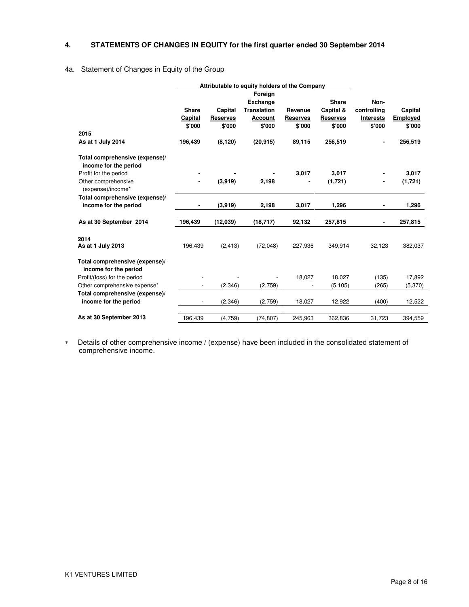### **4. STATEMENTS OF CHANGES IN EQUITY for the first quarter ended 30 September 2014**

### 4a. Statement of Changes in Equity of the Group

|                                                         |              | Attributable to equity holders of the Company |                    |                 |                 |                  |                 |
|---------------------------------------------------------|--------------|-----------------------------------------------|--------------------|-----------------|-----------------|------------------|-----------------|
|                                                         |              |                                               | Foreign            |                 |                 |                  |                 |
|                                                         |              |                                               | <b>Exchange</b>    |                 | <b>Share</b>    | Non-             |                 |
|                                                         | <b>Share</b> | Capital                                       | <b>Translation</b> | Revenue         | Capital &       | controlling      | Capital         |
|                                                         | Capital      | <b>Reserves</b>                               | Account            | <b>Reserves</b> | <b>Reserves</b> | <b>Interests</b> | <b>Employed</b> |
| 2015                                                    | \$'000       | \$'000                                        | \$'000             | \$'000          | \$'000          | \$'000           | \$'000          |
| As at 1 July 2014                                       | 196,439      | (8.120)                                       | (20, 915)          | 89,115          | 256,519         |                  | 256,519         |
|                                                         |              |                                               |                    |                 |                 |                  |                 |
| Total comprehensive (expense)/<br>income for the period |              |                                               |                    |                 |                 |                  |                 |
| Profit for the period                                   |              |                                               |                    | 3,017           | 3.017           |                  | 3.017           |
| Other comprehensive<br>(expense)/income*                |              | (3,919)                                       | 2,198              | ä,              | (1,721)         | ۰                | (1,721)         |
| Total comprehensive (expense)/                          |              |                                               |                    |                 |                 |                  |                 |
| income for the period                                   |              | (3,919)                                       | 2,198              | 3,017           | 1,296           | ٠                | 1,296           |
|                                                         |              |                                               |                    |                 |                 |                  |                 |
| As at 30 September 2014                                 | 196,439      | (12,039)                                      | (18, 717)          | 92,132          | 257,815         | ٠                | 257,815         |
|                                                         |              |                                               |                    |                 |                 |                  |                 |
| 2014<br>As at 1 July 2013                               | 196,439      | (2, 413)                                      | (72,048)           | 227,936         | 349,914         | 32,123           | 382,037         |
| Total comprehensive (expense)/<br>income for the period |              |                                               |                    |                 |                 |                  |                 |
| Profit/(loss) for the period                            |              |                                               |                    | 18,027          | 18,027          | (135)            | 17,892          |
| Other comprehensive expense*                            |              | (2.346)                                       | (2,759)            |                 | (5, 105)        | (265)            | (5,370)         |
| Total comprehensive (expense)/                          |              |                                               |                    |                 |                 |                  |                 |
| income for the period                                   |              | (2,346)                                       | (2,759)            | 18,027          | 12,922          | (400)            | 12,522          |
|                                                         |              |                                               |                    |                 |                 |                  |                 |
| As at 30 September 2013                                 | 196,439      | (4,759)                                       | (74, 807)          | 245,963         | 362,836         | 31,723           | 394,559         |

∗ Details of other comprehensive income / (expense) have been included in the consolidated statement of comprehensive income.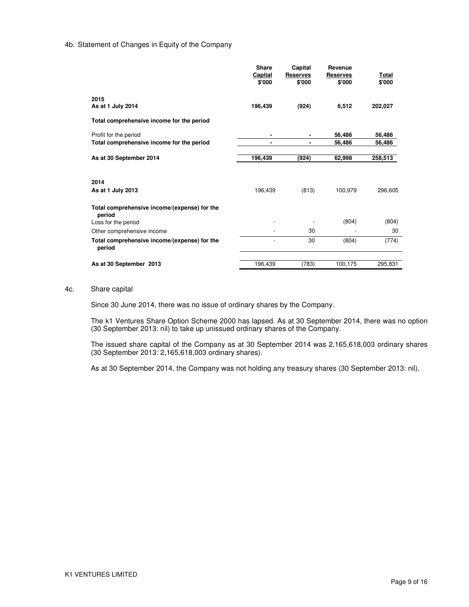#### 4b. Statement of Changes in Equity of the Company

|                                                        | Share<br>Capital<br>\$'000 | Capital<br><b>Reserves</b><br>\$'000 | Revenue<br><b>Reserves</b><br>\$'000 | Total<br>\$'000 |
|--------------------------------------------------------|----------------------------|--------------------------------------|--------------------------------------|-----------------|
| 2015<br>As at 1 July 2014                              | 196,439                    | (924)                                | 6,512                                | 202,027         |
| Total comprehensive income for the period              |                            |                                      |                                      |                 |
| Profit for the period                                  | ۰                          |                                      | 56,486                               | 56,486          |
| Total comprehensive income for the period              |                            | ۰                                    | 56,486                               | 56,486          |
| As at 30 September 2014                                | 196,439                    | (924)                                | 62,998                               | 258,513         |
|                                                        |                            |                                      |                                      |                 |
| 2014                                                   |                            |                                      |                                      |                 |
| As at 1 July 2013                                      | 196,439                    | (813)                                | 100,979                              | 296,605         |
| Total comprehensive income/(expense) for the<br>period |                            |                                      |                                      |                 |
| Loss for the period                                    |                            |                                      | (804)                                | (804)           |
| Other comprehensive income                             |                            | 30                                   |                                      | 30              |
| Total comprehensive income/(expense) for the<br>period | $\overline{a}$             | 30                                   | (804)                                | (774)           |
| As at 30 September 2013                                | 196,439                    | (783)                                | 100,175                              | 295,831         |

#### 4c. Share capital

Since 30 June 2014, there was no issue of ordinary shares by the Company.

The k1 Ventures Share Option Scheme 2000 has lapsed. As at 30 September 2014, there was no option (30 September 2013: nil) to take up unissued ordinary shares of the Company.

The issued share capital of the Company as at 30 September 2014 was 2,165,618,003 ordinary shares (30 September 2013: 2,165,618,003 ordinary shares).

As at 30 September 2014, the Company was not holding any treasury shares (30 September 2013: nil).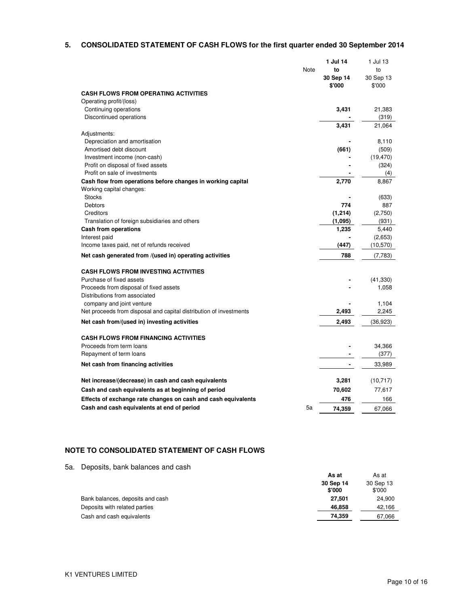### **5. CONSOLIDATED STATEMENT OF CASH FLOWS for the first quarter ended 30 September 2014**

|                                                                    | 1 Jul 14  | 1 Jul 13  |
|--------------------------------------------------------------------|-----------|-----------|
| Note                                                               | to        | to        |
|                                                                    | 30 Sep 14 | 30 Sep 13 |
|                                                                    | \$'000    | \$'000    |
| <b>CASH FLOWS FROM OPERATING ACTIVITIES</b>                        |           |           |
| Operating profit/(loss)                                            |           |           |
| Continuing operations                                              | 3,431     | 21,383    |
| Discontinued operations                                            |           | (319)     |
|                                                                    | 3,431     | 21,064    |
| Adjustments:                                                       |           |           |
| Depreciation and amortisation                                      |           | 8,110     |
| Amortised debt discount                                            | (661)     | (509)     |
| Investment income (non-cash)                                       |           | (19, 470) |
| Profit on disposal of fixed assets                                 |           | (324)     |
| Profit on sale of investments                                      |           | (4)       |
| Cash flow from operations before changes in working capital        | 2,770     | 8,867     |
| Working capital changes:                                           |           |           |
| <b>Stocks</b>                                                      |           | (633)     |
| Debtors                                                            | 774       | 887       |
| Creditors                                                          | (1, 214)  | (2,750)   |
| Translation of foreign subsidiaries and others                     | (1,095)   | (931)     |
| Cash from operations                                               | 1,235     | 5,440     |
| Interest paid                                                      |           | (2,653)   |
| Income taxes paid, net of refunds received                         | (447)     | (10, 570) |
| Net cash generated from /(used in) operating activities            | 788       | (7,783)   |
| <b>CASH FLOWS FROM INVESTING ACTIVITIES</b>                        |           |           |
| Purchase of fixed assets                                           |           | (41, 330) |
| Proceeds from disposal of fixed assets                             |           | 1,058     |
| Distributions from associated                                      |           |           |
| company and joint venture                                          |           | 1,104     |
| Net proceeds from disposal and capital distribution of investments | 2,493     | 2,245     |
|                                                                    |           |           |
| Net cash from/(used in) investing activities                       | 2,493     | (36, 923) |
| <b>CASH FLOWS FROM FINANCING ACTIVITIES</b>                        |           |           |
| Proceeds from term loans                                           |           | 34,366    |
| Repayment of term loans                                            |           | (377)     |
| Net cash from financing activities                                 |           | 33,989    |
| Net increase/(decrease) in cash and cash equivalents               | 3,281     | (10, 717) |
|                                                                    |           |           |
| Cash and cash equivalents as at beginning of period                | 70,602    | 77,617    |
| Effects of exchange rate changes on cash and cash equivalents      | 476       | 166       |
| Cash and cash equivalents at end of period<br>5a                   | 74.359    | 67.066    |

### **NOTE TO CONSOLIDATED STATEMENT OF CASH FLOWS**

5a. Deposits, bank balances and cash

|                                  | As at               | As at               |
|----------------------------------|---------------------|---------------------|
|                                  | 30 Sep 14<br>\$'000 | 30 Sep 13<br>\$'000 |
| Bank balances, deposits and cash | 27.501              | 24.900              |
| Deposits with related parties    | 46.858              | 42,166              |
| Cash and cash equivalents        | 74.359              | 67,066              |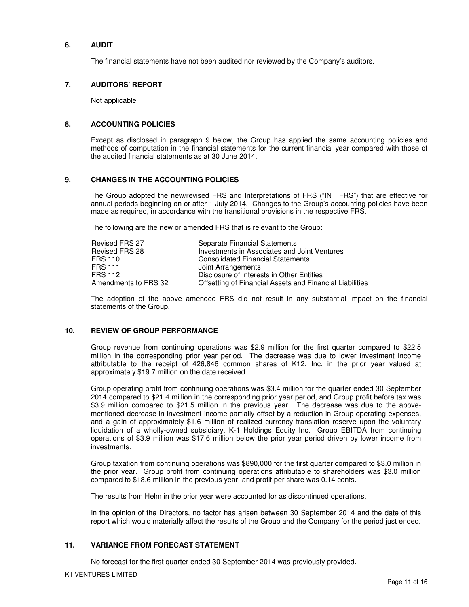### **6. AUDIT**

The financial statements have not been audited nor reviewed by the Company's auditors.

### **7. AUDITORS' REPORT**

Not applicable

### **8. ACCOUNTING POLICIES**

Except as disclosed in paragraph 9 below, the Group has applied the same accounting policies and methods of computation in the financial statements for the current financial year compared with those of the audited financial statements as at 30 June 2014.

### **9. CHANGES IN THE ACCOUNTING POLICIES**

The Group adopted the new/revised FRS and Interpretations of FRS ("INT FRS") that are effective for annual periods beginning on or after 1 July 2014. Changes to the Group's accounting policies have been made as required, in accordance with the transitional provisions in the respective FRS.

The following are the new or amended FRS that is relevant to the Group:

| Revised FRS 27       | Separate Financial Statements                            |
|----------------------|----------------------------------------------------------|
| Revised FRS 28       | Investments in Associates and Joint Ventures             |
| FRS 110              | <b>Consolidated Financial Statements</b>                 |
| FRS 111              | Joint Arrangements                                       |
| FRS 112              | Disclosure of Interests in Other Entities                |
| Amendments to FRS 32 | Offsetting of Financial Assets and Financial Liabilities |

The adoption of the above amended FRS did not result in any substantial impact on the financial statements of the Group.

### **10. REVIEW OF GROUP PERFORMANCE**

Group revenue from continuing operations was \$2.9 million for the first quarter compared to \$22.5 million in the corresponding prior year period. The decrease was due to lower investment income attributable to the receipt of 426,846 common shares of K12, Inc. in the prior year valued at approximately \$19.7 million on the date received.

Group operating profit from continuing operations was \$3.4 million for the quarter ended 30 September 2014 compared to \$21.4 million in the corresponding prior year period, and Group profit before tax was \$3.9 million compared to \$21.5 million in the previous year. The decrease was due to the abovementioned decrease in investment income partially offset by a reduction in Group operating expenses, and a gain of approximately \$1.6 million of realized currency translation reserve upon the voluntary liquidation of a wholly-owned subsidiary, K-1 Holdings Equity Inc. Group EBITDA from continuing operations of \$3.9 million was \$17.6 million below the prior year period driven by lower income from investments.

Group taxation from continuing operations was \$890,000 for the first quarter compared to \$3.0 million in the prior year. Group profit from continuing operations attributable to shareholders was \$3.0 million compared to \$18.6 million in the previous year, and profit per share was 0.14 cents.

The results from Helm in the prior year were accounted for as discontinued operations.

In the opinion of the Directors, no factor has arisen between 30 September 2014 and the date of this report which would materially affect the results of the Group and the Company for the period just ended.

#### **11. VARIANCE FROM FORECAST STATEMENT**

No forecast for the first quarter ended 30 September 2014 was previously provided.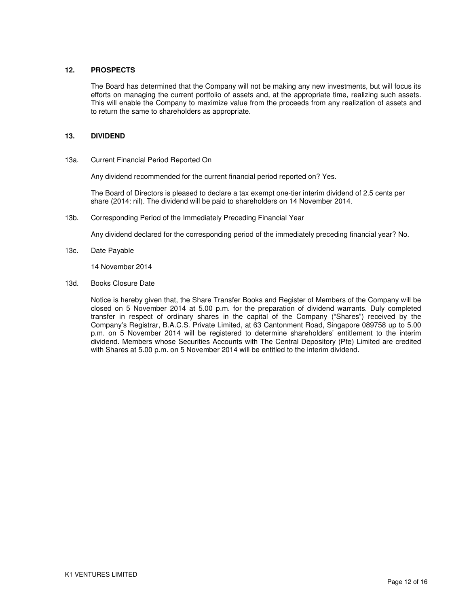### **12. PROSPECTS**

The Board has determined that the Company will not be making any new investments, but will focus its efforts on managing the current portfolio of assets and, at the appropriate time, realizing such assets. This will enable the Company to maximize value from the proceeds from any realization of assets and to return the same to shareholders as appropriate.

#### **13. DIVIDEND**

13a. Current Financial Period Reported On

Any dividend recommended for the current financial period reported on? Yes.

The Board of Directors is pleased to declare a tax exempt one-tier interim dividend of 2.5 cents per share (2014: nil). The dividend will be paid to shareholders on 14 November 2014.

13b. Corresponding Period of the Immediately Preceding Financial Year

Any dividend declared for the corresponding period of the immediately preceding financial year? No.

13c. Date Payable

14 November 2014

13d. Books Closure Date

Notice is hereby given that, the Share Transfer Books and Register of Members of the Company will be closed on 5 November 2014 at 5.00 p.m. for the preparation of dividend warrants. Duly completed transfer in respect of ordinary shares in the capital of the Company ("Shares") received by the Company's Registrar, B.A.C.S. Private Limited, at 63 Cantonment Road, Singapore 089758 up to 5.00 p.m. on 5 November 2014 will be registered to determine shareholders' entitlement to the interim dividend. Members whose Securities Accounts with The Central Depository (Pte) Limited are credited with Shares at 5.00 p.m. on 5 November 2014 will be entitled to the interim dividend.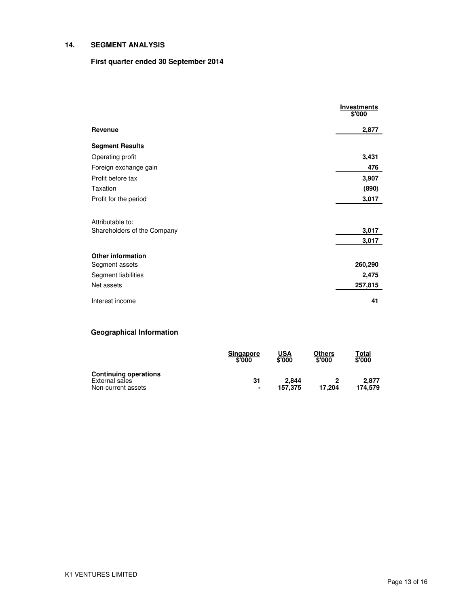### **14. SEGMENT ANALYSIS**

### **First quarter ended 30 September 2014**

|                             | <b>Investments</b><br>\$'000 |
|-----------------------------|------------------------------|
| Revenue                     | 2,877                        |
| <b>Segment Results</b>      |                              |
| Operating profit            | 3,431                        |
| Foreign exchange gain       | 476                          |
| Profit before tax           | 3,907                        |
| Taxation                    | (890)                        |
| Profit for the period       | 3,017                        |
|                             |                              |
| Attributable to:            |                              |
| Shareholders of the Company | 3,017                        |
|                             | 3,017                        |
| <b>Other information</b>    |                              |
| Segment assets              | 260,290                      |
| Segment liabilities         | 2,475                        |
| Net assets                  | 257,815                      |
| Interest income             | 41                           |

# **Geographical Information**

|                              | <b>Singapore</b><br>\$'000 | USA<br>\$'000 | Others<br>\$'000 | T <u>otal</u><br>\$'000 |
|------------------------------|----------------------------|---------------|------------------|-------------------------|
| <b>Continuing operations</b> |                            |               |                  |                         |
| External sales               | 31                         | 2.844         |                  | 2.877                   |
| Non-current assets           | ٠                          | 157.375       | 17.204           | 174.579                 |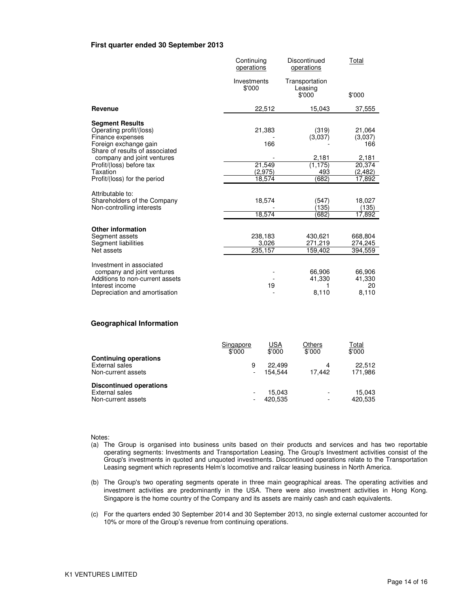#### **First quarter ended 30 September 2013**

|                                                                                                                                               | Continuing<br>operations    | Discontinued<br>operations          | Total                           |
|-----------------------------------------------------------------------------------------------------------------------------------------------|-----------------------------|-------------------------------------|---------------------------------|
|                                                                                                                                               | Investments<br>\$'000       | Transportation<br>Leasing<br>\$'000 | \$'000                          |
| Revenue                                                                                                                                       | 22,512                      | 15,043                              | 37,555                          |
| <b>Segment Results</b><br>Operating profit/(loss)<br>Finance expenses<br>Foreign exchange gain<br>Share of results of associated              | 21,383<br>166               | (319)<br>(3,037)                    | 21,064<br>(3,037)<br>166        |
| company and joint ventures<br>Profit/(loss) before tax                                                                                        | 21,549                      | 2,181<br>(1, 175)                   | 2,181<br>20,374                 |
| Taxation<br>Profit/(loss) for the period                                                                                                      | (2, 975)<br>18,574          | 493<br>(682)                        | (2, 482)<br>17,892              |
| Attributable to:<br>Shareholders of the Company<br>Non-controlling interests                                                                  | 18.574<br>18,574            | 547<br>(135)<br>(682)               | 18,027<br>(135)<br>17,892       |
| <b>Other information</b><br>Segment assets<br>Segment liabilities<br>Net assets                                                               | 238,183<br>3,026<br>235,157 | 430,621<br>271,219<br>159,402       | 668,804<br>274,245<br>394,559   |
| Investment in associated<br>company and joint ventures<br>Additions to non-current assets<br>Interest income<br>Depreciation and amortisation | 19                          | 66,906<br>41,330<br>8,110           | 66,906<br>41,330<br>20<br>8,110 |

#### **Geographical Information**

|                                                                        | Singapore<br>\$'000           | USA<br>\$'000     | Others<br>\$'000 | Total<br>\$'000   |
|------------------------------------------------------------------------|-------------------------------|-------------------|------------------|-------------------|
| <b>Continuing operations</b><br>External sales<br>Non-current assets   | 9<br>$\overline{\phantom{a}}$ | 22.499<br>154.544 | 4<br>17.442      | 22.512<br>171,986 |
| <b>Discontinued operations</b><br>External sales<br>Non-current assets |                               | 15.043<br>420,535 | ۰<br>-           | 15.043<br>420,535 |

Notes:

- (a) The Group is organised into business units based on their products and services and has two reportable operating segments: Investments and Transportation Leasing. The Group's Investment activities consist of the Group's investments in quoted and unquoted investments. Discontinued operations relate to the Transportation Leasing segment which represents Helm's locomotive and railcar leasing business in North America.
- (b) The Group's two operating segments operate in three main geographical areas. The operating activities and investment activities are predominantly in the USA. There were also investment activities in Hong Kong. Singapore is the home country of the Company and its assets are mainly cash and cash equivalents.
- (c) For the quarters ended 30 September 2014 and 30 September 2013, no single external customer accounted for 10% or more of the Group's revenue from continuing operations.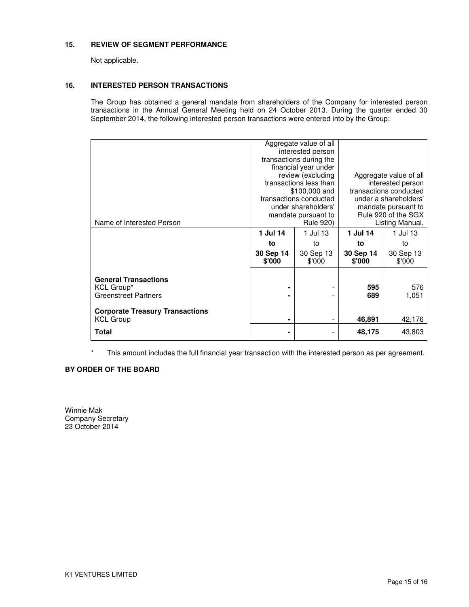### **15. REVIEW OF SEGMENT PERFORMANCE**

Not applicable.

### **16. INTERESTED PERSON TRANSACTIONS**

The Group has obtained a general mandate from shareholders of the Company for interested person transactions in the Annual General Meeting held on 24 October 2013. During the quarter ended 30 September 2014, the following interested person transactions were entered into by the Group:

| Name of Interested Person                                                  | Aggregate value of all<br>interested person<br>transactions during the<br>financial year under<br>review (excluding<br>transactions less than<br>\$100,000 and<br>transactions conducted<br>under shareholders'<br>mandate pursuant to<br><b>Rule 920)</b> |                                       | Aggregate value of all<br>interested person<br>transactions conducted<br>under a shareholders'<br>mandate pursuant to<br>Rule 920 of the SGX<br>Listing Manual. |                                       |
|----------------------------------------------------------------------------|------------------------------------------------------------------------------------------------------------------------------------------------------------------------------------------------------------------------------------------------------------|---------------------------------------|-----------------------------------------------------------------------------------------------------------------------------------------------------------------|---------------------------------------|
|                                                                            | 1 Jul 14<br>to<br>30 Sep 14<br>\$'000                                                                                                                                                                                                                      | 1 Jul 13<br>to<br>30 Sep 13<br>\$'000 | 1 Jul 14<br>to<br>30 Sep 14<br>\$'000                                                                                                                           | 1 Jul 13<br>to<br>30 Sep 13<br>\$'000 |
| <b>General Transactions</b><br>KCL Group*<br><b>Greenstreet Partners</b>   |                                                                                                                                                                                                                                                            |                                       | 595<br>689                                                                                                                                                      | 576<br>1,051                          |
| <b>Corporate Treasury Transactions</b><br><b>KCL Group</b><br><b>Total</b> |                                                                                                                                                                                                                                                            |                                       | 46,891<br>48,175                                                                                                                                                | 42,176<br>43,803                      |

This amount includes the full financial year transaction with the interested person as per agreement.

### **BY ORDER OF THE BOARD**

Winnie Mak Company Secretary 23 October 2014